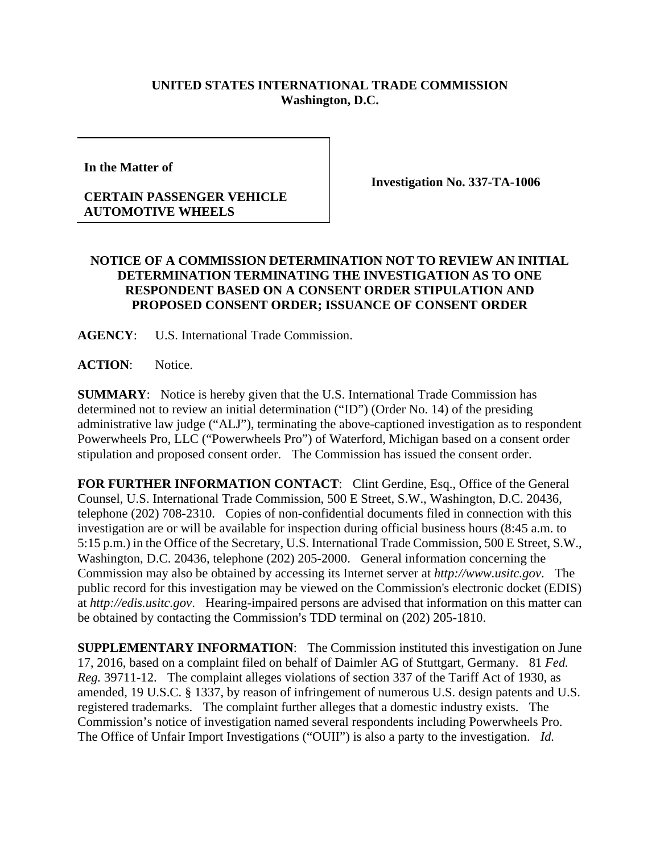## **UNITED STATES INTERNATIONAL TRADE COMMISSION Washington, D.C.**

**In the Matter of** 

## **CERTAIN PASSENGER VEHICLE AUTOMOTIVE WHEELS**

**Investigation No. 337-TA-1006** 

## **NOTICE OF A COMMISSION DETERMINATION NOT TO REVIEW AN INITIAL DETERMINATION TERMINATING THE INVESTIGATION AS TO ONE RESPONDENT BASED ON A CONSENT ORDER STIPULATION AND PROPOSED CONSENT ORDER; ISSUANCE OF CONSENT ORDER**

**AGENCY**: U.S. International Trade Commission.

**ACTION**: Notice.

**SUMMARY**: Notice is hereby given that the U.S. International Trade Commission has determined not to review an initial determination ("ID") (Order No. 14) of the presiding administrative law judge ("ALJ"), terminating the above-captioned investigation as to respondent Powerwheels Pro, LLC ("Powerwheels Pro") of Waterford, Michigan based on a consent order stipulation and proposed consent order. The Commission has issued the consent order.

**FOR FURTHER INFORMATION CONTACT:** Clint Gerdine, Esq., Office of the General Counsel, U.S. International Trade Commission, 500 E Street, S.W., Washington, D.C. 20436, telephone (202) 708-2310. Copies of non-confidential documents filed in connection with this investigation are or will be available for inspection during official business hours (8:45 a.m. to 5:15 p.m.) in the Office of the Secretary, U.S. International Trade Commission, 500 E Street, S.W., Washington, D.C. 20436, telephone (202) 205-2000. General information concerning the Commission may also be obtained by accessing its Internet server at *http://www.usitc.gov*. The public record for this investigation may be viewed on the Commission's electronic docket (EDIS) at *http://edis.usitc.gov*. Hearing-impaired persons are advised that information on this matter can be obtained by contacting the Commission's TDD terminal on (202) 205-1810.

**SUPPLEMENTARY INFORMATION**: The Commission instituted this investigation on June 17, 2016, based on a complaint filed on behalf of Daimler AG of Stuttgart, Germany. 81 *Fed. Reg.* 39711-12. The complaint alleges violations of section 337 of the Tariff Act of 1930, as amended, 19 U.S.C. § 1337, by reason of infringement of numerous U.S. design patents and U.S. registered trademarks. The complaint further alleges that a domestic industry exists. The Commission's notice of investigation named several respondents including Powerwheels Pro. The Office of Unfair Import Investigations ("OUII") is also a party to the investigation. *Id.*